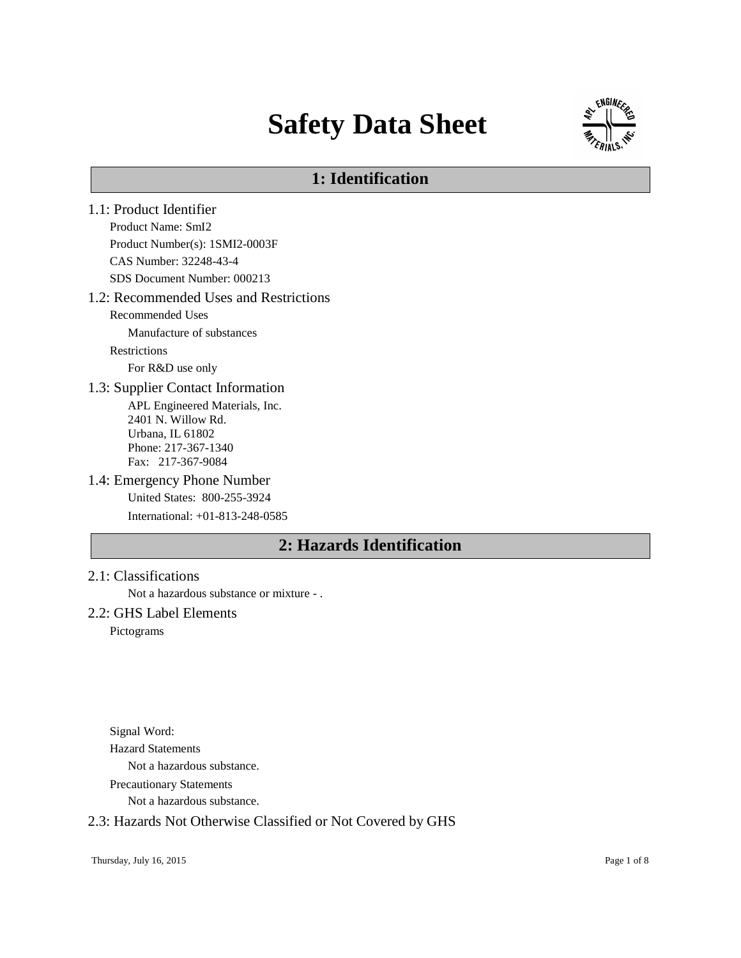# **Safety Data Sheet**



# **1: Identification**

- 1.1: Product Identifier Product Name: SmI2 Product Number(s): 1SMI2-0003F CAS Number: 32248-43-4 SDS Document Number: 000213 1.2: Recommended Uses and Restrictions Recommended Uses Manufacture of substances Restrictions For R&D use only 1.3: Supplier Contact Information APL Engineered Materials, Inc. 2401 N. Willow Rd. Urbana, IL 61802 Phone: 217-367-1340 Fax: 217-367-9084 1.4: Emergency Phone Number United States: 800-255-3924 International: +01-813-248-0585 **2: Hazards Identification**
- 2.1: Classifications

Not a hazardous substance or mixture - .

# 2.2: GHS Label Elements

Pictograms

Signal Word: Hazard Statements Not a hazardous substance. Precautionary Statements

Not a hazardous substance.

## 2.3: Hazards Not Otherwise Classified or Not Covered by GHS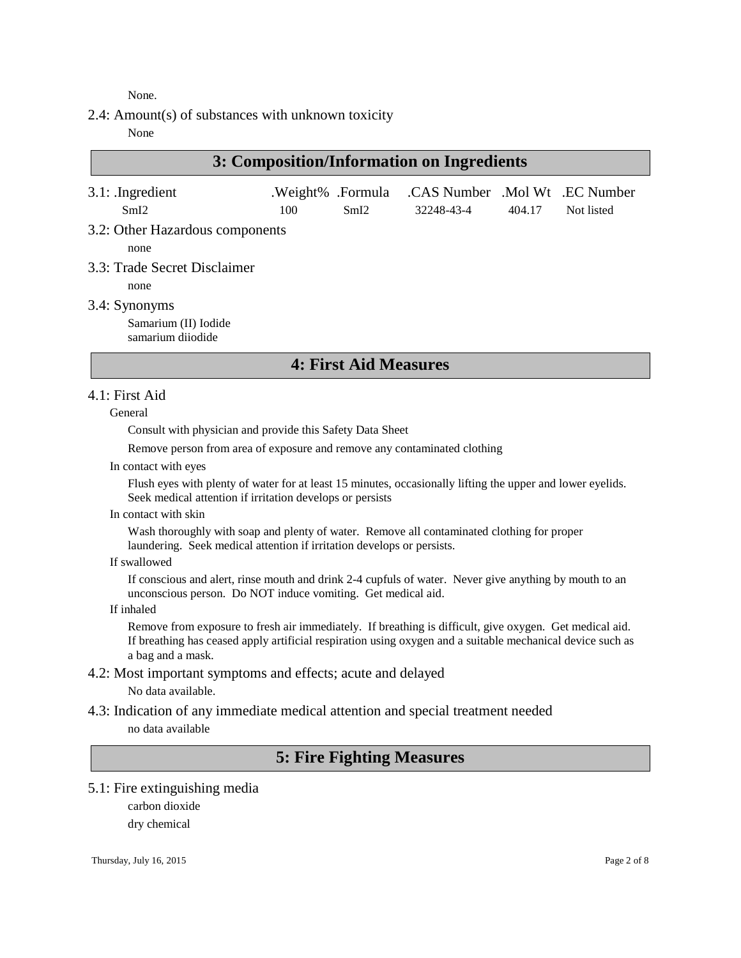None.

2.4: Amount(s) of substances with unknown toxicity

None

# **3: Composition/Information on Ingredients**

| $3.1:$ Ingredient<br>SmI2       | 100 | SmI2 | .Weight% .Formula .CAS Number .Mol Wt .EC Number<br>32248-43-4 | 404.17 | Not listed |
|---------------------------------|-----|------|----------------------------------------------------------------|--------|------------|
| 3.2: Other Hazardous components |     |      |                                                                |        |            |
| none                            |     |      |                                                                |        |            |
| 3.3: Trade Secret Disclaimer    |     |      |                                                                |        |            |

none

3.4: Synonyms

Samarium (II) Iodide samarium diiodide

# **4: First Aid Measures**

## 4.1: First Aid

General

Consult with physician and provide this Safety Data Sheet

Remove person from area of exposure and remove any contaminated clothing

In contact with eyes

Flush eyes with plenty of water for at least 15 minutes, occasionally lifting the upper and lower eyelids. Seek medical attention if irritation develops or persists

In contact with skin

Wash thoroughly with soap and plenty of water. Remove all contaminated clothing for proper laundering. Seek medical attention if irritation develops or persists.

If swallowed

If conscious and alert, rinse mouth and drink 2-4 cupfuls of water. Never give anything by mouth to an unconscious person. Do NOT induce vomiting. Get medical aid.

If inhaled

Remove from exposure to fresh air immediately. If breathing is difficult, give oxygen. Get medical aid. If breathing has ceased apply artificial respiration using oxygen and a suitable mechanical device such as a bag and a mask.

- 4.2: Most important symptoms and effects; acute and delayed No data available.
- 4.3: Indication of any immediate medical attention and special treatment needed no data available

# **5: Fire Fighting Measures**

5.1: Fire extinguishing media

carbon dioxide dry chemical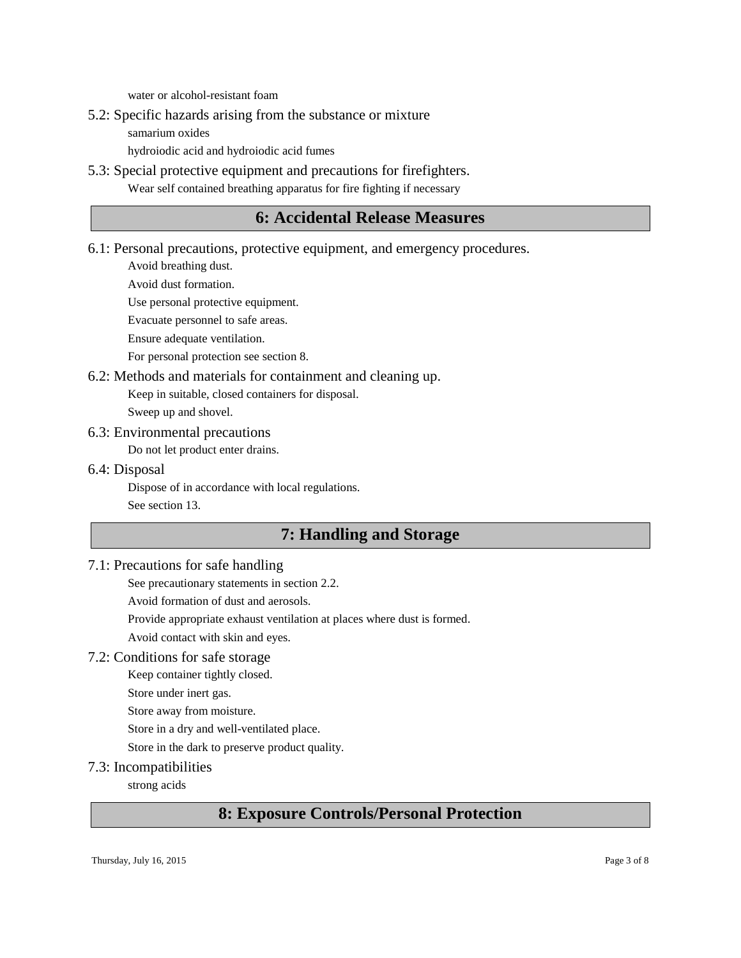water or alcohol-resistant foam

- 5.2: Specific hazards arising from the substance or mixture
	- samarium oxides

hydroiodic acid and hydroiodic acid fumes

5.3: Special protective equipment and precautions for firefighters. Wear self contained breathing apparatus for fire fighting if necessary

# **6: Accidental Release Measures**

6.1: Personal precautions, protective equipment, and emergency procedures.

Avoid breathing dust.

Avoid dust formation.

Use personal protective equipment.

Evacuate personnel to safe areas.

Ensure adequate ventilation.

For personal protection see section 8.

6.2: Methods and materials for containment and cleaning up.

Keep in suitable, closed containers for disposal.

Sweep up and shovel.

6.3: Environmental precautions

Do not let product enter drains.

6.4: Disposal

Dispose of in accordance with local regulations. See section 13.

# **7: Handling and Storage**

# 7.1: Precautions for safe handling

See precautionary statements in section 2.2.

Avoid formation of dust and aerosols.

Provide appropriate exhaust ventilation at places where dust is formed.

Avoid contact with skin and eyes.

# 7.2: Conditions for safe storage

Keep container tightly closed.

Store under inert gas.

Store away from moisture.

Store in a dry and well-ventilated place.

Store in the dark to preserve product quality.

## 7.3: Incompatibilities

strong acids

# **8: Exposure Controls/Personal Protection**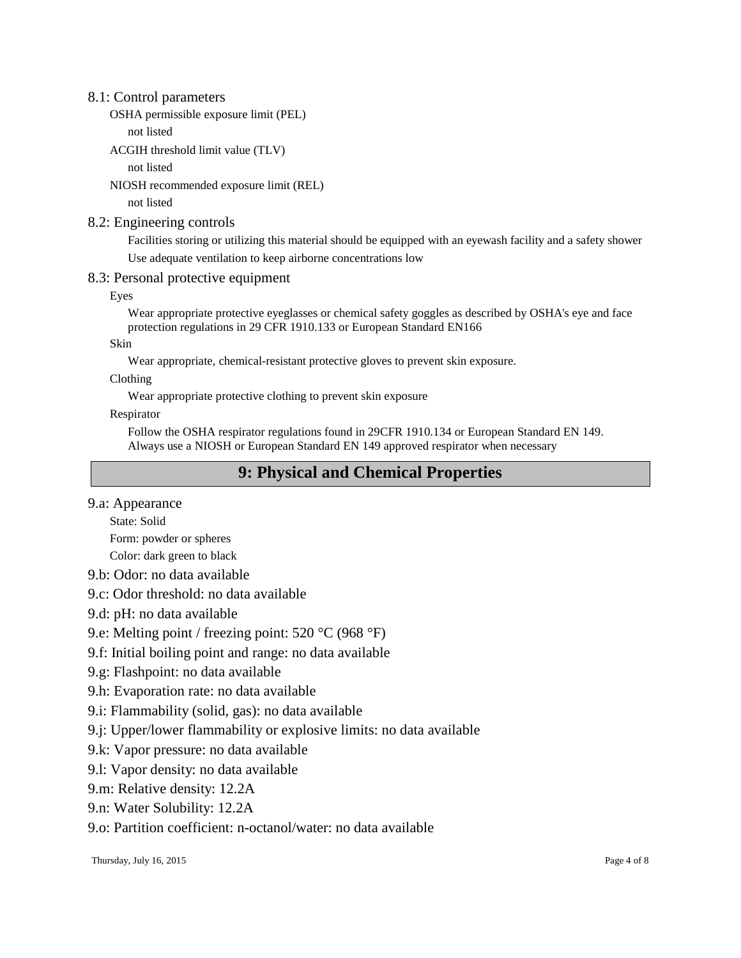## 8.1: Control parameters

OSHA permissible exposure limit (PEL)

not listed

ACGIH threshold limit value (TLV)

not listed

NIOSH recommended exposure limit (REL)

not listed

## 8.2: Engineering controls

Facilities storing or utilizing this material should be equipped with an eyewash facility and a safety shower Use adequate ventilation to keep airborne concentrations low

# 8.3: Personal protective equipment

Eyes

Wear appropriate protective eyeglasses or chemical safety goggles as described by OSHA's eye and face protection regulations in 29 CFR 1910.133 or European Standard EN166

Skin

Wear appropriate, chemical-resistant protective gloves to prevent skin exposure.

Clothing

Wear appropriate protective clothing to prevent skin exposure

Respirator

Follow the OSHA respirator regulations found in 29CFR 1910.134 or European Standard EN 149. Always use a NIOSH or European Standard EN 149 approved respirator when necessary

# **9: Physical and Chemical Properties**

9.a: Appearance

State: Solid

Form: powder or spheres

Color: dark green to black

- 9.b: Odor: no data available
- 9.c: Odor threshold: no data available
- 9.d: pH: no data available
- 9.e: Melting point / freezing point: 520 °C (968 °F)
- 9.f: Initial boiling point and range: no data available
- 9.g: Flashpoint: no data available
- 9.h: Evaporation rate: no data available
- 9.i: Flammability (solid, gas): no data available
- 9.j: Upper/lower flammability or explosive limits: no data available
- 9.k: Vapor pressure: no data available
- 9.l: Vapor density: no data available

9.m: Relative density: 12.2A

9.n: Water Solubility: 12.2A

9.o: Partition coefficient: n-octanol/water: no data available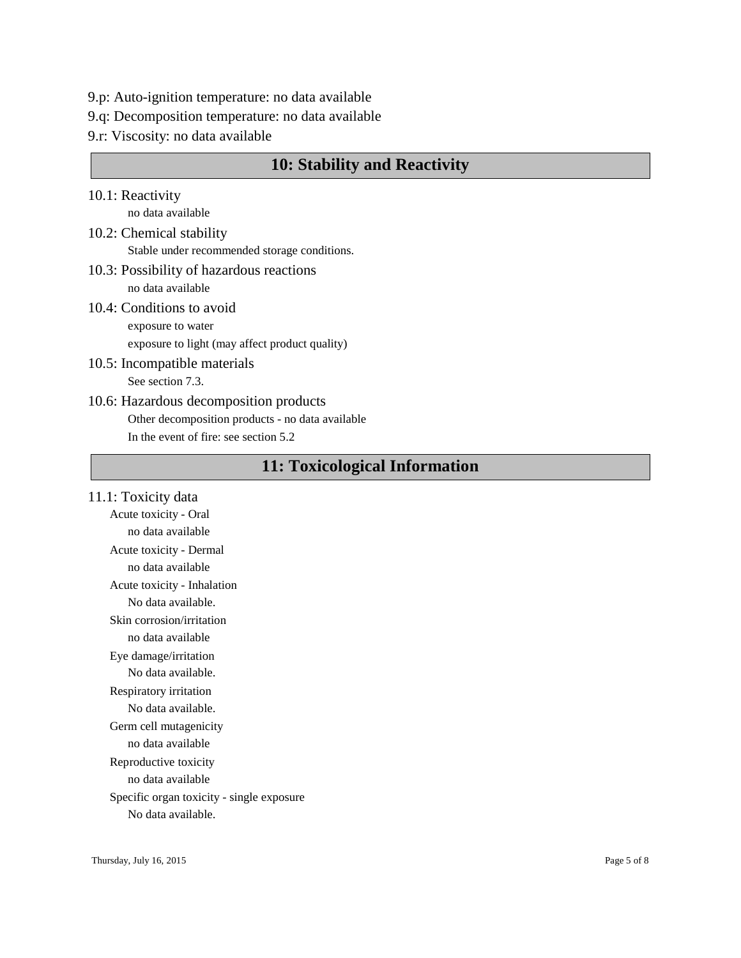- 9.p: Auto-ignition temperature: no data available
- 9.q: Decomposition temperature: no data available
- 9.r: Viscosity: no data available

# **10: Stability and Reactivity**

- 10.1: Reactivity no data available
- 10.2: Chemical stability Stable under recommended storage conditions.
- 10.3: Possibility of hazardous reactions no data available
- 10.4: Conditions to avoid exposure to water

exposure to light (may affect product quality)

- 10.5: Incompatible materials See section 7.3.
- 10.6: Hazardous decomposition products Other decomposition products - no data available In the event of fire: see section 5.2

# **11: Toxicological Information**

11.1: Toxicity data Acute toxicity - Oral no data available Acute toxicity - Dermal no data available Acute toxicity - Inhalation No data available. Skin corrosion/irritation no data available Eye damage/irritation No data available. Respiratory irritation No data available. Germ cell mutagenicity no data available Reproductive toxicity no data available Specific organ toxicity - single exposure No data available.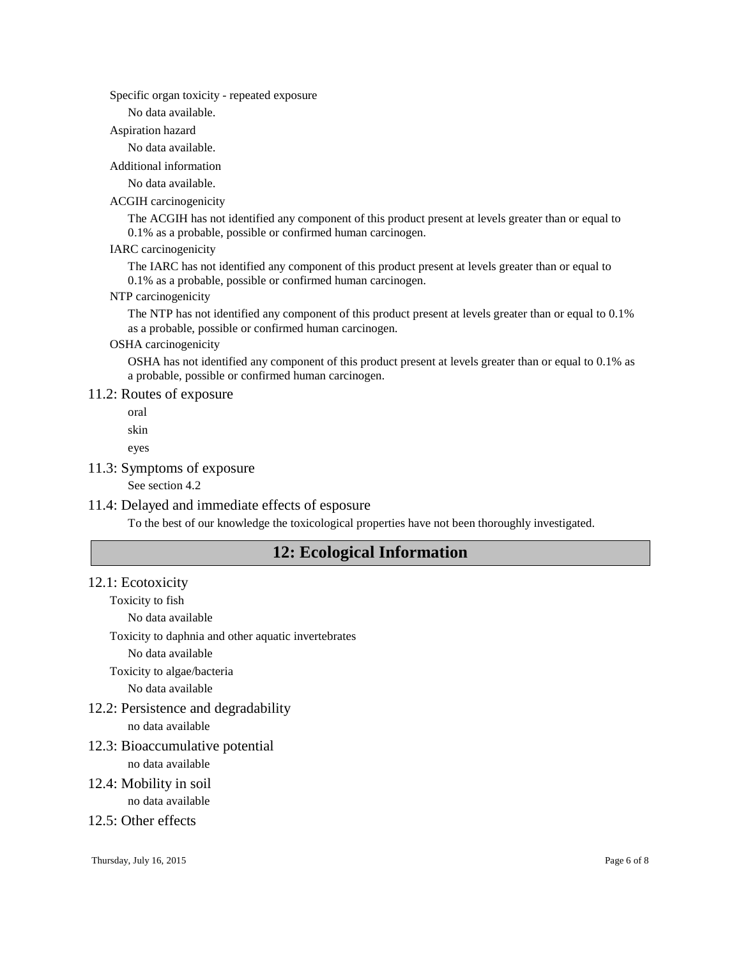Specific organ toxicity - repeated exposure

No data available.

Aspiration hazard

No data available.

Additional information

No data available.

#### ACGIH carcinogenicity

The ACGIH has not identified any component of this product present at levels greater than or equal to 0.1% as a probable, possible or confirmed human carcinogen.

#### IARC carcinogenicity

The IARC has not identified any component of this product present at levels greater than or equal to 0.1% as a probable, possible or confirmed human carcinogen.

#### NTP carcinogenicity

The NTP has not identified any component of this product present at levels greater than or equal to 0.1% as a probable, possible or confirmed human carcinogen.

## OSHA carcinogenicity

OSHA has not identified any component of this product present at levels greater than or equal to 0.1% as a probable, possible or confirmed human carcinogen.

# 11.2: Routes of exposure

oral

skin

eyes

### 11.3: Symptoms of exposure

See section 4.2

## 11.4: Delayed and immediate effects of esposure

To the best of our knowledge the toxicological properties have not been thoroughly investigated.

# **12: Ecological Information**

#### 12.1: Ecotoxicity

Toxicity to fish

No data available

Toxicity to daphnia and other aquatic invertebrates

No data available

Toxicity to algae/bacteria

No data available

- 12.2: Persistence and degradability no data available
- 12.3: Bioaccumulative potential

no data available

12.4: Mobility in soil

no data available

# 12.5: Other effects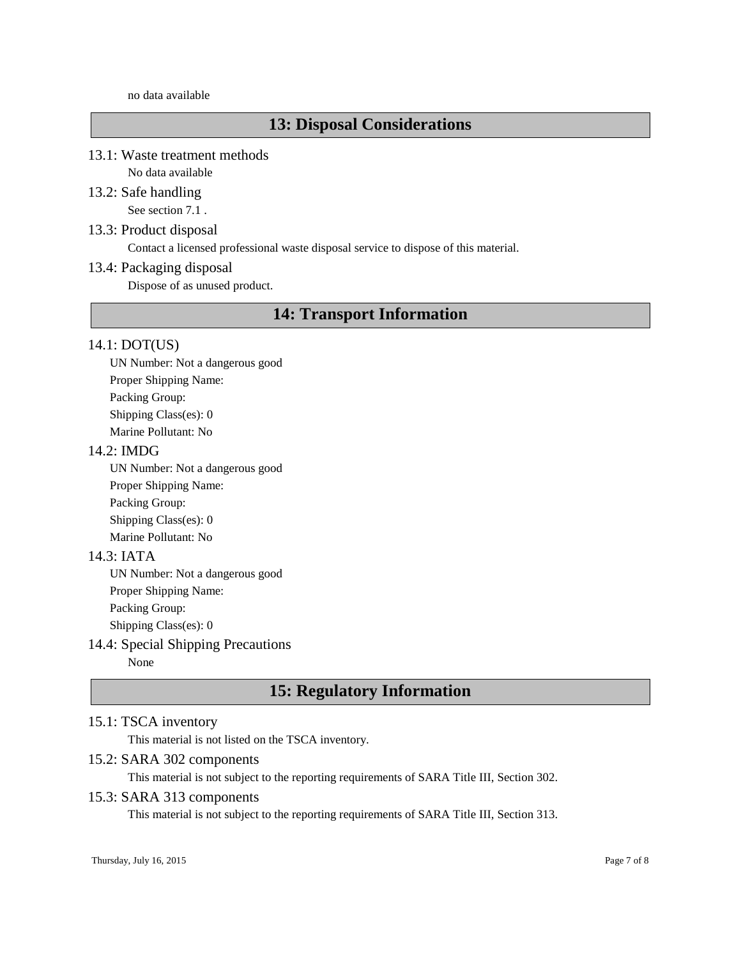#### no data available

# **13: Disposal Considerations**

## 13.1: Waste treatment methods

No data available

# 13.2: Safe handling

See section 7.1 .

## 13.3: Product disposal

Contact a licensed professional waste disposal service to dispose of this material.

## 13.4: Packaging disposal

Dispose of as unused product.

# **14: Transport Information**

## 14.1: DOT(US)

UN Number: Not a dangerous good Proper Shipping Name: Packing Group: Shipping Class(es): 0 Marine Pollutant: No

## 14.2: IMDG

UN Number: Not a dangerous good Proper Shipping Name: Packing Group: Shipping Class(es): 0 Marine Pollutant: No

## 14.3: IATA

UN Number: Not a dangerous good Proper Shipping Name:

Packing Group:

Shipping Class(es): 0

# 14.4: Special Shipping Precautions

None

# **15: Regulatory Information**

## 15.1: TSCA inventory

This material is not listed on the TSCA inventory.

## 15.2: SARA 302 components

This material is not subject to the reporting requirements of SARA Title III, Section 302.

## 15.3: SARA 313 components

This material is not subject to the reporting requirements of SARA Title III, Section 313.